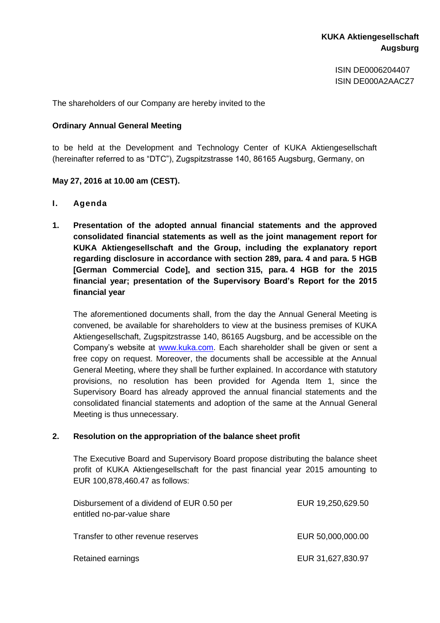ISIN DE0006204407 ISIN DE000A2AACZ7

The shareholders of our Company are hereby invited to the

## **Ordinary Annual General Meeting**

to be held at the Development and Technology Center of KUKA Aktiengesellschaft (hereinafter referred to as "DTC"), Zugspitzstrasse 140, 86165 Augsburg, Germany, on

## **May 27, 2016 at 10.00 am (CEST).**

- **I. Agenda**
- **1. Presentation of the adopted annual financial statements and the approved consolidated financial statements as well as the joint management report for KUKA Aktiengesellschaft and the Group, including the explanatory report regarding disclosure in accordance with section 289, para. 4 and para. 5 HGB [German Commercial Code], and section 315, para. 4 HGB for the 2015 financial year; presentation of the Supervisory Board's Report for the 2015 financial year**

The aforementioned documents shall, from the day the Annual General Meeting is convened, be available for shareholders to view at the business premises of KUKA Aktiengesellschaft, Zugspitzstrasse 140, 86165 Augsburg, and be accessible on the Company's website at [www.kuka.com.](http://www.kuka.com/) Each shareholder shall be given or sent a free copy on request. Moreover, the documents shall be accessible at the Annual General Meeting, where they shall be further explained. In accordance with statutory provisions, no resolution has been provided for Agenda Item 1, since the Supervisory Board has already approved the annual financial statements and the consolidated financial statements and adoption of the same at the Annual General Meeting is thus unnecessary.

### **2. Resolution on the appropriation of the balance sheet profit**

The Executive Board and Supervisory Board propose distributing the balance sheet profit of KUKA Aktiengesellschaft for the past financial year 2015 amounting to EUR 100,878,460.47 as follows:

| Disbursement of a dividend of EUR 0.50 per<br>entitled no-par-value share | EUR 19,250,629.50 |
|---------------------------------------------------------------------------|-------------------|
| Transfer to other revenue reserves                                        | EUR 50,000,000.00 |
| Retained earnings                                                         | EUR 31,627,830.97 |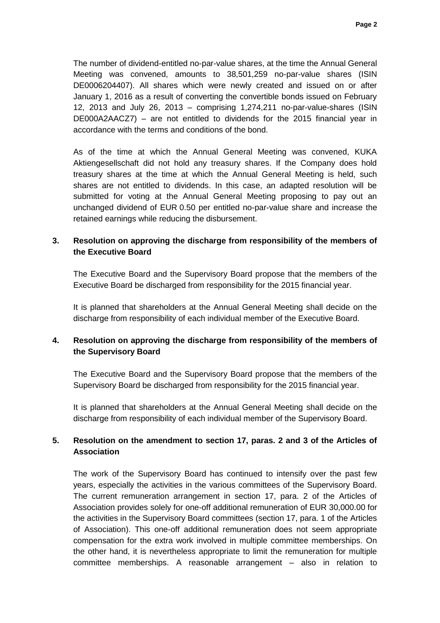The number of dividend-entitled no-par-value shares, at the time the Annual General Meeting was convened, amounts to 38,501,259 no-par-value shares (ISIN DE0006204407). All shares which were newly created and issued on or after January 1, 2016 as a result of converting the convertible bonds issued on February 12, 2013 and July 26, 2013 – comprising 1,274,211 no-par-value-shares (ISIN DE000A2AACZ7) – are not entitled to dividends for the 2015 financial year in accordance with the terms and conditions of the bond.

As of the time at which the Annual General Meeting was convened, KUKA Aktiengesellschaft did not hold any treasury shares. If the Company does hold treasury shares at the time at which the Annual General Meeting is held, such shares are not entitled to dividends. In this case, an adapted resolution will be submitted for voting at the Annual General Meeting proposing to pay out an unchanged dividend of EUR 0.50 per entitled no-par-value share and increase the retained earnings while reducing the disbursement.

# **3. Resolution on approving the discharge from responsibility of the members of the Executive Board**

The Executive Board and the Supervisory Board propose that the members of the Executive Board be discharged from responsibility for the 2015 financial year.

It is planned that shareholders at the Annual General Meeting shall decide on the discharge from responsibility of each individual member of the Executive Board.

# **4. Resolution on approving the discharge from responsibility of the members of the Supervisory Board**

The Executive Board and the Supervisory Board propose that the members of the Supervisory Board be discharged from responsibility for the 2015 financial year.

It is planned that shareholders at the Annual General Meeting shall decide on the discharge from responsibility of each individual member of the Supervisory Board.

# **5. Resolution on the amendment to section 17, paras. 2 and 3 of the Articles of Association**

The work of the Supervisory Board has continued to intensify over the past few years, especially the activities in the various committees of the Supervisory Board. The current remuneration arrangement in section 17, para. 2 of the Articles of Association provides solely for one-off additional remuneration of EUR 30,000.00 for the activities in the Supervisory Board committees (section 17, para. 1 of the Articles of Association). This one-off additional remuneration does not seem appropriate compensation for the extra work involved in multiple committee memberships. On the other hand, it is nevertheless appropriate to limit the remuneration for multiple committee memberships. A reasonable arrangement – also in relation to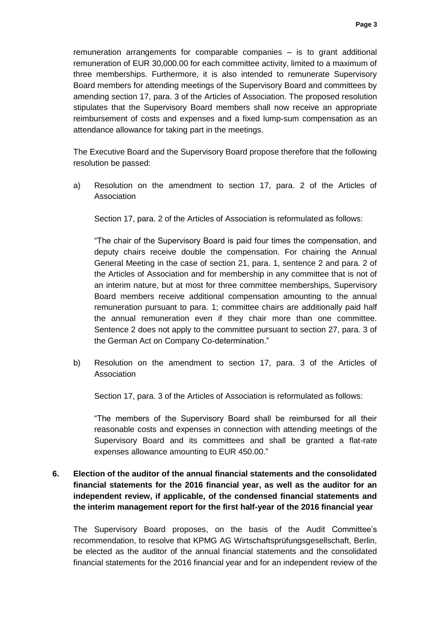remuneration arrangements for comparable companies – is to grant additional remuneration of EUR 30,000.00 for each committee activity, limited to a maximum of three memberships. Furthermore, it is also intended to remunerate Supervisory Board members for attending meetings of the Supervisory Board and committees by amending section 17, para. 3 of the Articles of Association. The proposed resolution stipulates that the Supervisory Board members shall now receive an appropriate reimbursement of costs and expenses and a fixed lump-sum compensation as an attendance allowance for taking part in the meetings.

The Executive Board and the Supervisory Board propose therefore that the following resolution be passed:

a) Resolution on the amendment to section 17, para. 2 of the Articles of Association

Section 17, para. 2 of the Articles of Association is reformulated as follows:

"The chair of the Supervisory Board is paid four times the compensation, and deputy chairs receive double the compensation. For chairing the Annual General Meeting in the case of section 21, para. 1, sentence 2 and para. 2 of the Articles of Association and for membership in any committee that is not of an interim nature, but at most for three committee memberships, Supervisory Board members receive additional compensation amounting to the annual remuneration pursuant to para. 1; committee chairs are additionally paid half the annual remuneration even if they chair more than one committee. Sentence 2 does not apply to the committee pursuant to section 27, para. 3 of the German Act on Company Co-determination."

b) Resolution on the amendment to section 17, para. 3 of the Articles of Association

Section 17, para. 3 of the Articles of Association is reformulated as follows:

"The members of the Supervisory Board shall be reimbursed for all their reasonable costs and expenses in connection with attending meetings of the Supervisory Board and its committees and shall be granted a flat-rate expenses allowance amounting to EUR 450.00."

**6. Election of the auditor of the annual financial statements and the consolidated financial statements for the 2016 financial year, as well as the auditor for an independent review, if applicable, of the condensed financial statements and the interim management report for the first half-year of the 2016 financial year**

The Supervisory Board proposes, on the basis of the Audit Committee's recommendation, to resolve that KPMG AG Wirtschaftsprüfungsgesellschaft, Berlin, be elected as the auditor of the annual financial statements and the consolidated financial statements for the 2016 financial year and for an independent review of the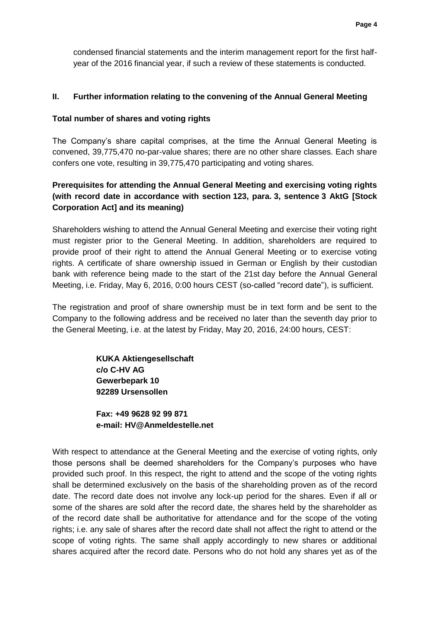condensed financial statements and the interim management report for the first halfyear of the 2016 financial year, if such a review of these statements is conducted.

## **II. Further information relating to the convening of the Annual General Meeting**

## **Total number of shares and voting rights**

The Company's share capital comprises, at the time the Annual General Meeting is convened, 39,775,470 no-par-value shares; there are no other share classes. Each share confers one vote, resulting in 39,775,470 participating and voting shares.

# **Prerequisites for attending the Annual General Meeting and exercising voting rights (with record date in accordance with section 123, para. 3, sentence 3 AktG [Stock Corporation Act] and its meaning)**

Shareholders wishing to attend the Annual General Meeting and exercise their voting right must register prior to the General Meeting. In addition, shareholders are required to provide proof of their right to attend the Annual General Meeting or to exercise voting rights. A certificate of share ownership issued in German or English by their custodian bank with reference being made to the start of the 21st day before the Annual General Meeting, i.e. Friday, May 6, 2016, 0:00 hours CEST (so-called "record date"), is sufficient.

The registration and proof of share ownership must be in text form and be sent to the Company to the following address and be received no later than the seventh day prior to the General Meeting, i.e. at the latest by Friday, May 20, 2016, 24:00 hours, CEST:

> **KUKA Aktiengesellschaft c/o C-HV AG Gewerbepark 10 92289 Ursensollen**

**Fax: +49 9628 92 99 871 e-mail: [HV@Anmeldestelle.net](mailto:HV@Anmeldestelle.net)**

With respect to attendance at the General Meeting and the exercise of voting rights, only those persons shall be deemed shareholders for the Company's purposes who have provided such proof. In this respect, the right to attend and the scope of the voting rights shall be determined exclusively on the basis of the shareholding proven as of the record date. The record date does not involve any lock-up period for the shares. Even if all or some of the shares are sold after the record date, the shares held by the shareholder as of the record date shall be authoritative for attendance and for the scope of the voting rights; i.e. any sale of shares after the record date shall not affect the right to attend or the scope of voting rights. The same shall apply accordingly to new shares or additional shares acquired after the record date. Persons who do not hold any shares yet as of the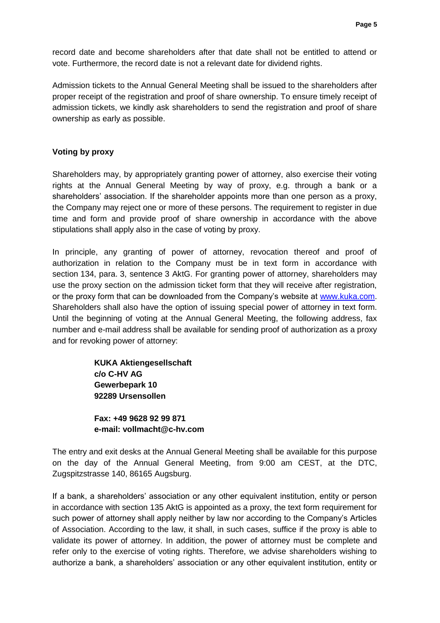record date and become shareholders after that date shall not be entitled to attend or vote. Furthermore, the record date is not a relevant date for dividend rights.

Admission tickets to the Annual General Meeting shall be issued to the shareholders after proper receipt of the registration and proof of share ownership. To ensure timely receipt of admission tickets, we kindly ask shareholders to send the registration and proof of share ownership as early as possible.

### **Voting by proxy**

Shareholders may, by appropriately granting power of attorney, also exercise their voting rights at the Annual General Meeting by way of proxy, e.g. through a bank or a shareholders' association. If the shareholder appoints more than one person as a proxy, the Company may reject one or more of these persons. The requirement to register in due time and form and provide proof of share ownership in accordance with the above stipulations shall apply also in the case of voting by proxy.

In principle, any granting of power of attorney, revocation thereof and proof of authorization in relation to the Company must be in text form in accordance with section 134, para. 3, sentence 3 AktG. For granting power of attorney, shareholders may use the proxy section on the admission ticket form that they will receive after registration, or the proxy form that can be downloaded from the Company's website at [www.kuka.com.](http://www.kuka.com/) Shareholders shall also have the option of issuing special power of attorney in text form. Until the beginning of voting at the Annual General Meeting, the following address, fax number and e-mail address shall be available for sending proof of authorization as a proxy and for revoking power of attorney:

> **KUKA Aktiengesellschaft c/o C-HV AG Gewerbepark 10 92289 Ursensollen**

**Fax: +49 9628 92 99 871 e-mail: vollmacht@c-hv.com**

The entry and exit desks at the Annual General Meeting shall be available for this purpose on the day of the Annual General Meeting, from 9:00 am CEST, at the DTC, Zugspitzstrasse 140, 86165 Augsburg.

If a bank, a shareholders' association or any other equivalent institution, entity or person in accordance with section 135 AktG is appointed as a proxy, the text form requirement for such power of attorney shall apply neither by law nor according to the Company's Articles of Association. According to the law, it shall, in such cases, suffice if the proxy is able to validate its power of attorney. In addition, the power of attorney must be complete and refer only to the exercise of voting rights. Therefore, we advise shareholders wishing to authorize a bank, a shareholders' association or any other equivalent institution, entity or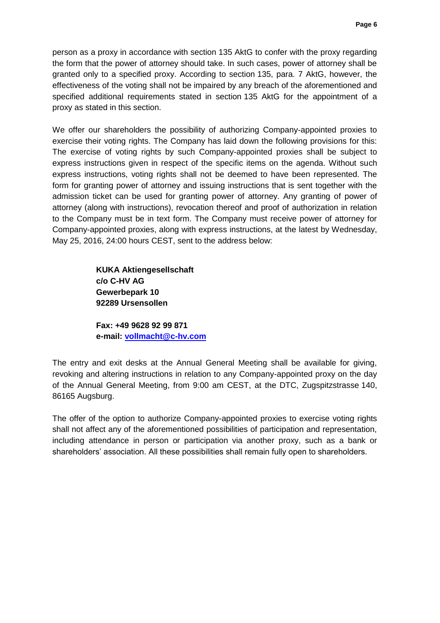person as a proxy in accordance with section 135 AktG to confer with the proxy regarding the form that the power of attorney should take. In such cases, power of attorney shall be granted only to a specified proxy. According to section 135, para. 7 AktG, however, the effectiveness of the voting shall not be impaired by any breach of the aforementioned and specified additional requirements stated in section 135 AktG for the appointment of a proxy as stated in this section.

We offer our shareholders the possibility of authorizing Company-appointed proxies to exercise their voting rights. The Company has laid down the following provisions for this: The exercise of voting rights by such Company-appointed proxies shall be subject to express instructions given in respect of the specific items on the agenda. Without such express instructions, voting rights shall not be deemed to have been represented. The form for granting power of attorney and issuing instructions that is sent together with the admission ticket can be used for granting power of attorney. Any granting of power of attorney (along with instructions), revocation thereof and proof of authorization in relation to the Company must be in text form. The Company must receive power of attorney for Company-appointed proxies, along with express instructions, at the latest by Wednesday, May 25, 2016, 24:00 hours CEST, sent to the address below:

> **KUKA Aktiengesellschaft c/o C-HV AG Gewerbepark 10 92289 Ursensollen**

**Fax: +49 9628 92 99 871 e-mail: [vollmacht@c-hv.com](mailto:vollmacht@c-hv.com)**

The entry and exit desks at the Annual General Meeting shall be available for giving, revoking and altering instructions in relation to any Company-appointed proxy on the day of the Annual General Meeting, from 9:00 am CEST, at the DTC, Zugspitzstrasse 140, 86165 Augsburg.

The offer of the option to authorize Company-appointed proxies to exercise voting rights shall not affect any of the aforementioned possibilities of participation and representation, including attendance in person or participation via another proxy, such as a bank or shareholders' association. All these possibilities shall remain fully open to shareholders.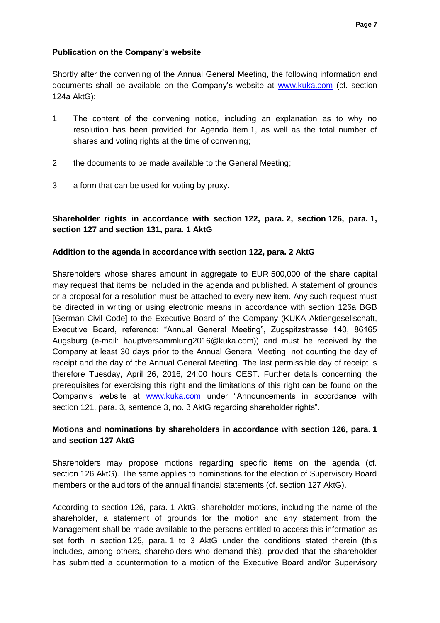## **Publication on the Company's website**

Shortly after the convening of the Annual General Meeting, the following information and documents shall be available on the Company's website at [www.kuka.com](http://www.kuka.com/) (cf. section 124a AktG):

- 1. The content of the convening notice, including an explanation as to why no resolution has been provided for Agenda Item 1, as well as the total number of shares and voting rights at the time of convening;
- 2. the documents to be made available to the General Meeting;
- 3. a form that can be used for voting by proxy.

# **Shareholder rights in accordance with section 122, para. 2, section 126, para. 1, section 127 and section 131, para. 1 AktG**

## **Addition to the agenda in accordance with section 122, para. 2 AktG**

Shareholders whose shares amount in aggregate to EUR 500,000 of the share capital may request that items be included in the agenda and published. A statement of grounds or a proposal for a resolution must be attached to every new item. Any such request must be directed in writing or using electronic means in accordance with section 126a BGB [German Civil Code] to the Executive Board of the Company (KUKA Aktiengesellschaft, Executive Board, reference: "Annual General Meeting", Zugspitzstrasse 140, 86165 Augsburg (e-mail: hauptversammlung2016@kuka.com)) and must be received by the Company at least 30 days prior to the Annual General Meeting, not counting the day of receipt and the day of the Annual General Meeting. The last permissible day of receipt is therefore Tuesday, April 26, 2016, 24:00 hours CEST. Further details concerning the prerequisites for exercising this right and the limitations of this right can be found on the Company's website at [www.kuka.com](http://www.kuka.com/) under "Announcements in accordance with section 121, para. 3, sentence 3, no. 3 AktG regarding shareholder rights".

## **Motions and nominations by shareholders in accordance with section 126, para. 1 and section 127 AktG**

Shareholders may propose motions regarding specific items on the agenda (cf. section 126 AktG). The same applies to nominations for the election of Supervisory Board members or the auditors of the annual financial statements (cf. section 127 AktG).

According to section 126, para. 1 AktG, shareholder motions, including the name of the shareholder, a statement of grounds for the motion and any statement from the Management shall be made available to the persons entitled to access this information as set forth in section 125, para. 1 to 3 AktG under the conditions stated therein (this includes, among others, shareholders who demand this), provided that the shareholder has submitted a countermotion to a motion of the Executive Board and/or Supervisory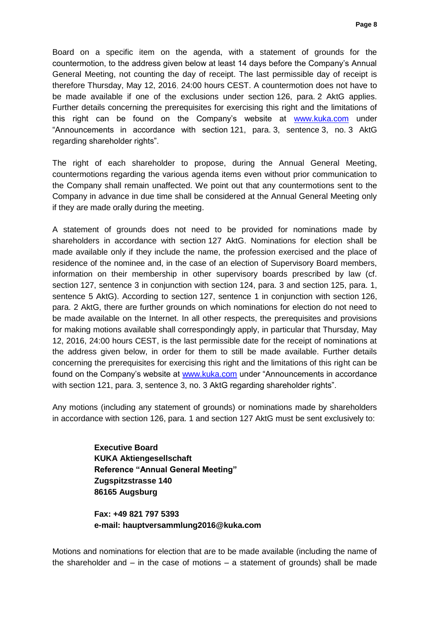Board on a specific item on the agenda, with a statement of grounds for the countermotion, to the address given below at least 14 days before the Company's Annual General Meeting, not counting the day of receipt. The last permissible day of receipt is therefore Thursday, May 12, 2016, 24:00 hours CEST. A countermotion does not have to be made available if one of the exclusions under section 126, para. 2 AktG applies. Further details concerning the prerequisites for exercising this right and the limitations of this right can be found on the Company's website at [www.kuka.com](http://www.kuka.com/) under "Announcements in accordance with section 121, para. 3, sentence 3, no. 3 AktG regarding shareholder rights".

The right of each shareholder to propose, during the Annual General Meeting, countermotions regarding the various agenda items even without prior communication to the Company shall remain unaffected. We point out that any countermotions sent to the Company in advance in due time shall be considered at the Annual General Meeting only if they are made orally during the meeting.

A statement of grounds does not need to be provided for nominations made by shareholders in accordance with section 127 AktG. Nominations for election shall be made available only if they include the name, the profession exercised and the place of residence of the nominee and, in the case of an election of Supervisory Board members, information on their membership in other supervisory boards prescribed by law (cf. section 127, sentence 3 in conjunction with section 124, para. 3 and section 125, para. 1, sentence 5 AktG). According to section 127, sentence 1 in conjunction with section 126, para. 2 AktG, there are further grounds on which nominations for election do not need to be made available on the Internet. In all other respects, the prerequisites and provisions for making motions available shall correspondingly apply, in particular that Thursday, May 12, 2016, 24:00 hours CEST, is the last permissible date for the receipt of nominations at the address given below, in order for them to still be made available. Further details concerning the prerequisites for exercising this right and the limitations of this right can be found on the Company's website at [www.kuka.com](http://www.kuka.com/) under "Announcements in accordance with section 121, para. 3, sentence 3, no. 3 AktG regarding shareholder rights".

Any motions (including any statement of grounds) or nominations made by shareholders in accordance with section 126, para. 1 and section 127 AktG must be sent exclusively to:

> **Executive Board KUKA Aktiengesellschaft Reference "Annual General Meeting" Zugspitzstrasse 140 86165 Augsburg**

**Fax: +49 821 797 5393 e-mail: hauptversammlung2016@kuka.com**

Motions and nominations for election that are to be made available (including the name of the shareholder and  $-$  in the case of motions  $-$  a statement of grounds) shall be made